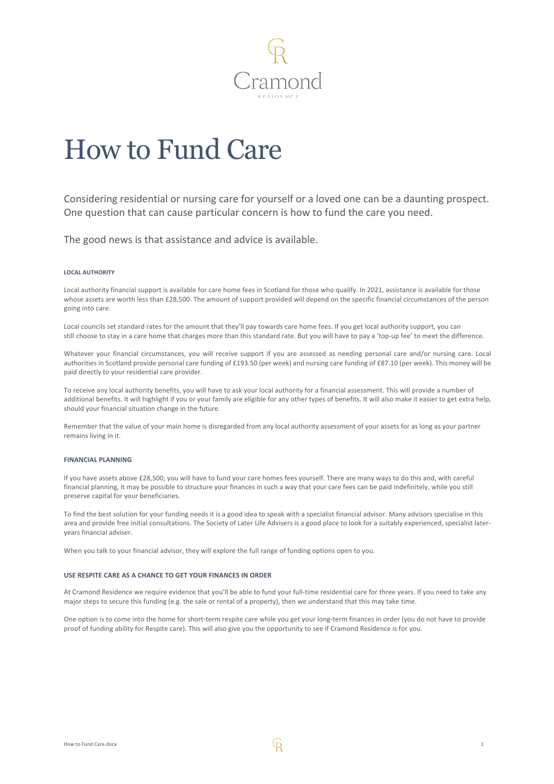

# How to Fund Care

Considering residential or nursing care for yourself or a loved one can be a daunting prospect. One question that can cause particular concern is how to fund the care you need.

The good news is that assistance and advice is available.

# **LOCAL AUTHORITY**

Local authority financial support is available for care home fees in Scotland for those who qualify. In 2021, assistance is available for those whose assets are worth less than £28,500. The amount of support provided will depend on the specific financial circumstances of the person going into care.

Local councils set standard rates for the amount that they'll pay towards care home fees. If you get local authority support, you can still choose to stay in a care home that charges more than this standard rate. But you will have to pay a 'top-up fee' to meet the difference.

Whatever your financial circumstances, you will receive support if you are assessed as needing personal care and/or nursing care. Local authorities in Scotland provide personal care funding of £193.50 (per week) and nursing care funding of £87.10 (per week). This money will be paid directly to your residential care provider.

To receive any local authority benefits, you will have to ask your local authority for a financial assessment. This will provide a number of additional benefits. It will highlight if you or your family are eligible for any other types of benefits. It will also make it easier to get extra help, should your financial situation change in the future.

Remember that the value of your main home is disregarded from any local authority assessment of your assets for as long as your partner remains living in it.

### **FINANCIAL PLANNING**

If you have assets above £28,500, you will have to fund your care homes fees yourself. There are many ways to do this and, with careful financial planning, it may be possible to structure your finances in such a way that your care fees can be paid indefinitely, while you still preserve capital for your beneficiaries.

To find the best solution for your funding needs it is a good idea to speak with a specialist financial advisor. Many advisors specialise in this area and provide free initial consultations. The Society of Later Life Advisers is a good place to look for a suitably experienced, specialist lateryears financial adviser.

When you talk to your financial advisor, they will explore the full range of funding options open to you.

# **USE RESPITE CARE AS A CHANCE TO GET YOUR FINANCES IN ORDER**

At Cramond Residence we require evidence that you'll be able to fund your full-time residential care for three years. If you need to take any major steps to secure this funding (e.g. the sale or rental of a property), then we understand that this may take time.

One option is to come into the home for short-term respite care while you get your long-term finances in order (you do not have to provide proof of funding ability for Respite care). This will also give you the opportunity to see if Cramond Residence is for you.